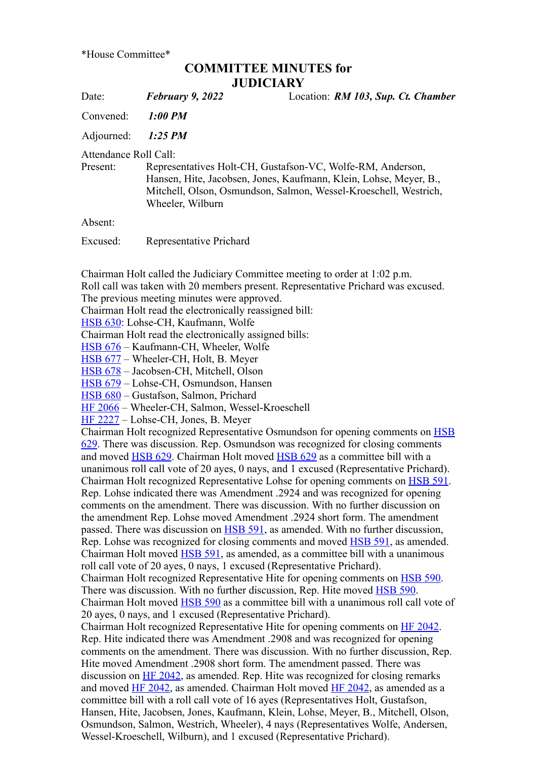\*House Committee\*

## **COMMITTEE MINUTES for JUDICIARY**

Date: *February 9, 2022* Location: *RM 103, Sup. Ct. Chamber*

Convened: *1:00 PM*

Adjourned: *1:25 PM*

Attendance Roll Call:

Present: Representatives Holt-CH, Gustafson-VC, Wolfe-RM, Anderson, Hansen, Hite, Jacobsen, Jones, Kaufmann, Klein, Lohse, Meyer, B., Mitchell, Olson, Osmundson, Salmon, Wessel-Kroeschell, Westrich, Wheeler, Wilburn

Absent:

Excused: Representative Prichard

Chairman Holt called the Judiciary Committee meeting to order at 1:02 p.m.

Roll call was taken with 20 members present. Representative Prichard was excused.

The previous meeting minutes were approved.

Chairman Holt read the electronically reassigned bill:

[HSB 630](https://www.legis.iowa.gov/legislation/BillBook?ga=89&ba=HSB630): Lohse-CH, Kaufmann, Wolfe

Chairman Holt read the electronically assigned bills:

[HSB 676](https://www.legis.iowa.gov/legislation/BillBook?ga=89&ba=HSB676) – Kaufmann-CH, Wheeler, Wolfe

[HSB 677](https://www.legis.iowa.gov/legislation/BillBook?ga=89&ba=HSB677) – Wheeler-CH, Holt, B. Meyer

[HSB 678](https://www.legis.iowa.gov/legislation/BillBook?ga=89&ba=HSB678) – Jacobsen-CH, Mitchell, Olson

[HSB 679](https://www.legis.iowa.gov/legislation/BillBook?ga=89&ba=HSB679) – Lohse-CH, Osmundson, Hansen

[HSB 680](https://www.legis.iowa.gov/legislation/BillBook?ga=89&ba=HSB680) – Gustafson, Salmon, Prichard

[HF 2066](https://www.legis.iowa.gov/legislation/BillBook?ga=89&ba=HF2066) – Wheeler-CH, Salmon, Wessel-Kroeschell

[HF 2227](https://www.legis.iowa.gov/legislation/BillBook?ga=89&ba=HF2227) – Lohse-CH, Jones, B. Meyer

[Chairman Holt recognized Representative Osmundson for opening comments on HSB](https://www.legis.iowa.gov/legislation/BillBook?ga=89&ba=HSB629) 629. There was discussion. Rep. Osmundson was recognized for closing comments and moved **[HSB 629](https://www.legis.iowa.gov/legislation/BillBook?ga=89&ba=HSB629)**. Chairman Holt moved **HSB 629** as a committee bill with a unanimous roll call vote of 20 ayes, 0 nays, and 1 excused (Representative Prichard). Chairman Holt recognized Representative Lohse for opening comments on [HSB 591](https://www.legis.iowa.gov/legislation/BillBook?ga=89&ba=HSB591). Rep. Lohse indicated there was Amendment .2924 and was recognized for opening comments on the amendment. There was discussion. With no further discussion on the amendment Rep. Lohse moved Amendment .2924 short form. The amendment passed. There was discussion on [HSB 591](https://www.legis.iowa.gov/legislation/BillBook?ga=89&ba=HSB591), as amended. With no further discussion, Rep. Lohse was recognized for closing comments and moved [HSB 591](https://www.legis.iowa.gov/legislation/BillBook?ga=89&ba=HSB591), as amended. Chairman Holt moved [HSB 591,](https://www.legis.iowa.gov/legislation/BillBook?ga=89&ba=HSB591) as amended, as a committee bill with a unanimous roll call vote of 20 ayes, 0 nays, 1 excused (Representative Prichard). Chairman Holt recognized Representative Hite for opening comments on [HSB 590](https://www.legis.iowa.gov/legislation/BillBook?ga=89&ba=HSB590). There was discussion. With no further discussion, Rep. Hite moved [HSB 590](https://www.legis.iowa.gov/legislation/BillBook?ga=89&ba=HSB590). Chairman Holt moved **HSB 590** as a committee bill with a unanimous roll call vote of 20 ayes, 0 nays, and 1 excused (Representative Prichard). Chairman Holt recognized Representative Hite for opening comments on [HF 2042.](https://www.legis.iowa.gov/legislation/BillBook?ga=89&ba=HF2042) Rep. Hite indicated there was Amendment .2908 and was recognized for opening comments on the amendment. There was discussion. With no further discussion, Rep. Hite moved Amendment .2908 short form. The amendment passed. There was discussion on [HF 2042](https://www.legis.iowa.gov/legislation/BillBook?ga=89&ba=HF2042), as amended. Rep. Hite was recognized for closing remarks and moved  $\overline{HF}$  2042, as amended. Chairman Holt moved  $\overline{HF}$  2042, as amended as a committee bill with a roll call vote of 16 ayes (Representatives Holt, Gustafson, Hansen, Hite, Jacobsen, Jones, Kaufmann, Klein, Lohse, Meyer, B., Mitchell, Olson,

Osmundson, Salmon, Westrich, Wheeler), 4 nays (Representatives Wolfe, Andersen, Wessel-Kroeschell, Wilburn), and 1 excused (Representative Prichard).